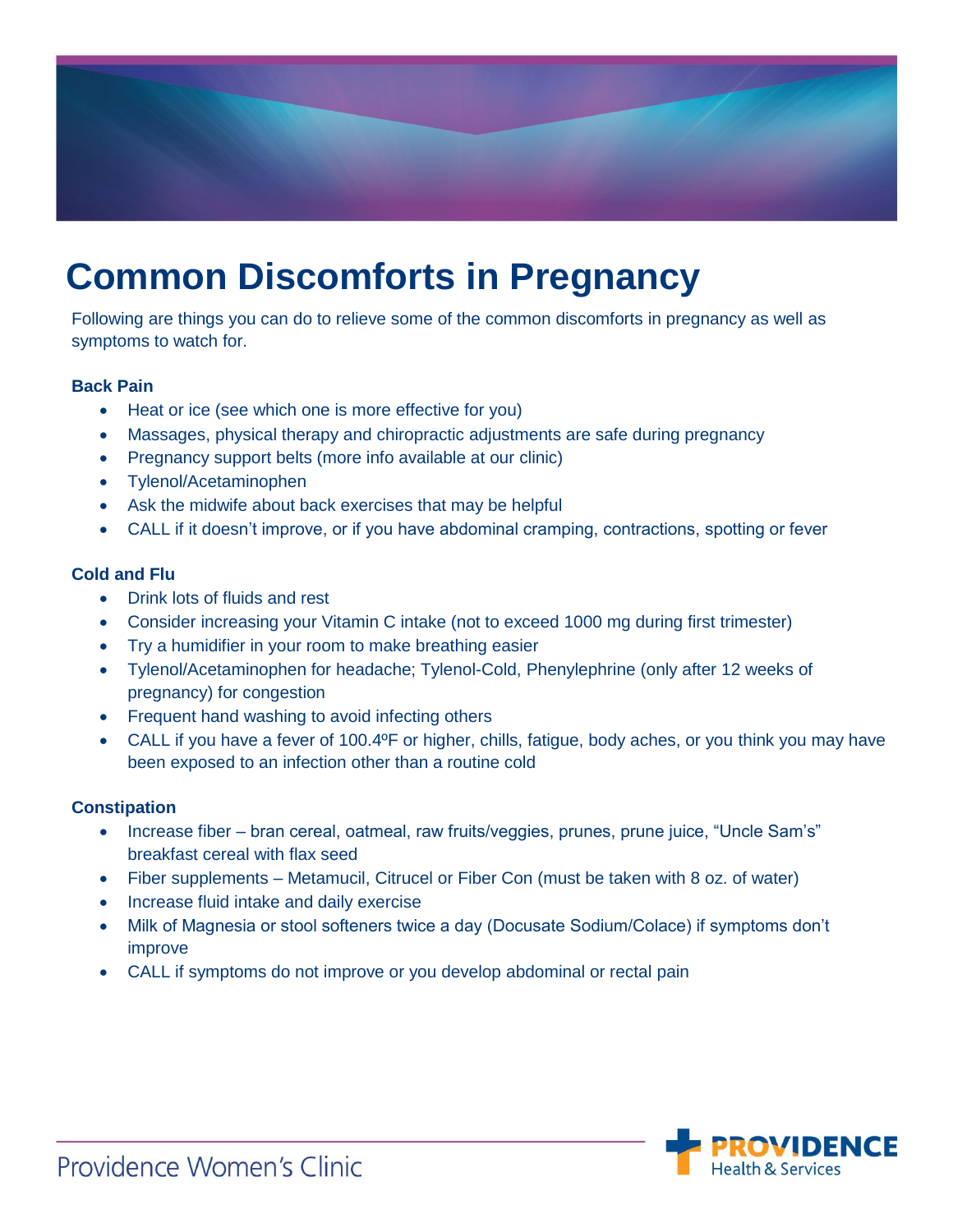

# **Common Discomforts in Pregnancy**

Following are things you can do to relieve some of the common discomforts in pregnancy as well as symptoms to watch for.

# **Back Pain**

- Heat or ice (see which one is more effective for you)
- Massages, physical therapy and chiropractic adjustments are safe during pregnancy
- Pregnancy support belts (more info available at our clinic)
- Tylenol/Acetaminophen
- Ask the midwife about back exercises that may be helpful
- CALL if it doesn't improve, or if you have abdominal cramping, contractions, spotting or fever

# **Cold and Flu**

- Drink lots of fluids and rest
- Consider increasing your Vitamin C intake (not to exceed 1000 mg during first trimester)
- Try a humidifier in your room to make breathing easier
- Tylenol/Acetaminophen for headache; Tylenol-Cold, Phenylephrine (only after 12 weeks of pregnancy) for congestion
- Frequent hand washing to avoid infecting others
- CALL if you have a fever of 100.4°F or higher, chills, fatigue, body aches, or you think you may have been exposed to an infection other than a routine cold

# **Constipation**

- Increase fiber bran cereal, oatmeal, raw fruits/veggies, prunes, prune juice, "Uncle Sam's" breakfast cereal with flax seed
- Fiber supplements Metamucil, Citrucel or Fiber Con (must be taken with 8 oz. of water)
- Increase fluid intake and daily exercise
- Milk of Magnesia or stool softeners twice a day (Docusate Sodium/Colace) if symptoms don't improve
- CALL if symptoms do not improve or you develop abdominal or rectal pain

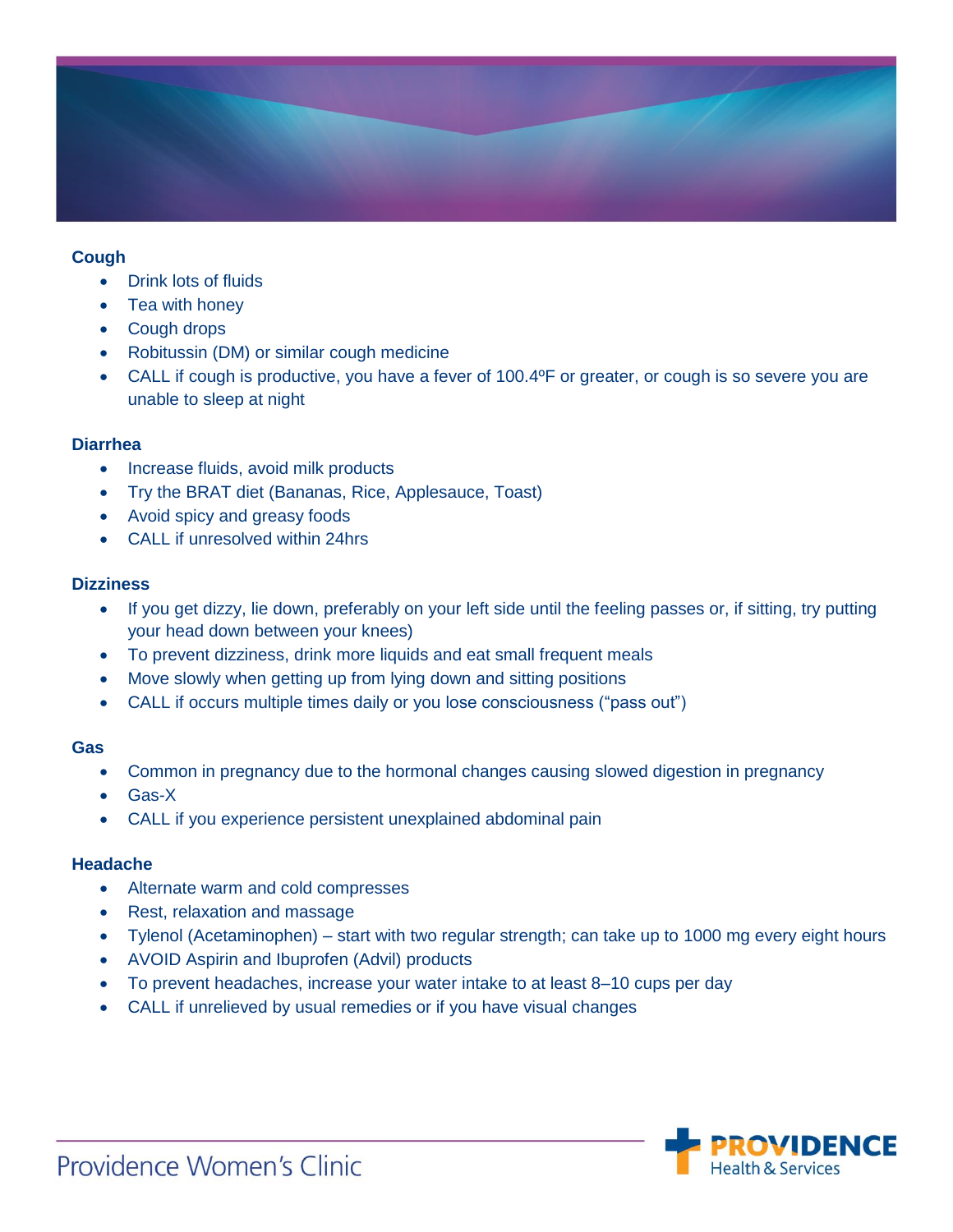

#### **Cough**

- Drink lots of fluids
- Tea with honey
- Cough drops
- Robitussin (DM) or similar cough medicine
- CALL if cough is productive, you have a fever of 100.4ºF or greater, or cough is so severe you are unable to sleep at night

#### **Diarrhea**

- Increase fluids, avoid milk products
- Try the BRAT diet (Bananas, Rice, Applesauce, Toast)
- Avoid spicy and greasy foods
- CALL if unresolved within 24hrs

#### **Dizziness**

- If you get dizzy, lie down, preferably on your left side until the feeling passes or, if sitting, try putting your head down between your knees)
- To prevent dizziness, drink more liquids and eat small frequent meals
- Move slowly when getting up from lying down and sitting positions
- CALL if occurs multiple times daily or you lose consciousness ("pass out")

#### **Gas**

- Common in pregnancy due to the hormonal changes causing slowed digestion in pregnancy
- Gas-X
- CALL if you experience persistent unexplained abdominal pain

# **Headache**

- Alternate warm and cold compresses
- Rest, relaxation and massage
- Tylenol (Acetaminophen) start with two regular strength; can take up to 1000 mg every eight hours
- AVOID Aspirin and Ibuprofen (Advil) products
- To prevent headaches, increase your water intake to at least 8–10 cups per day
- CALL if unrelieved by usual remedies or if you have visual changes

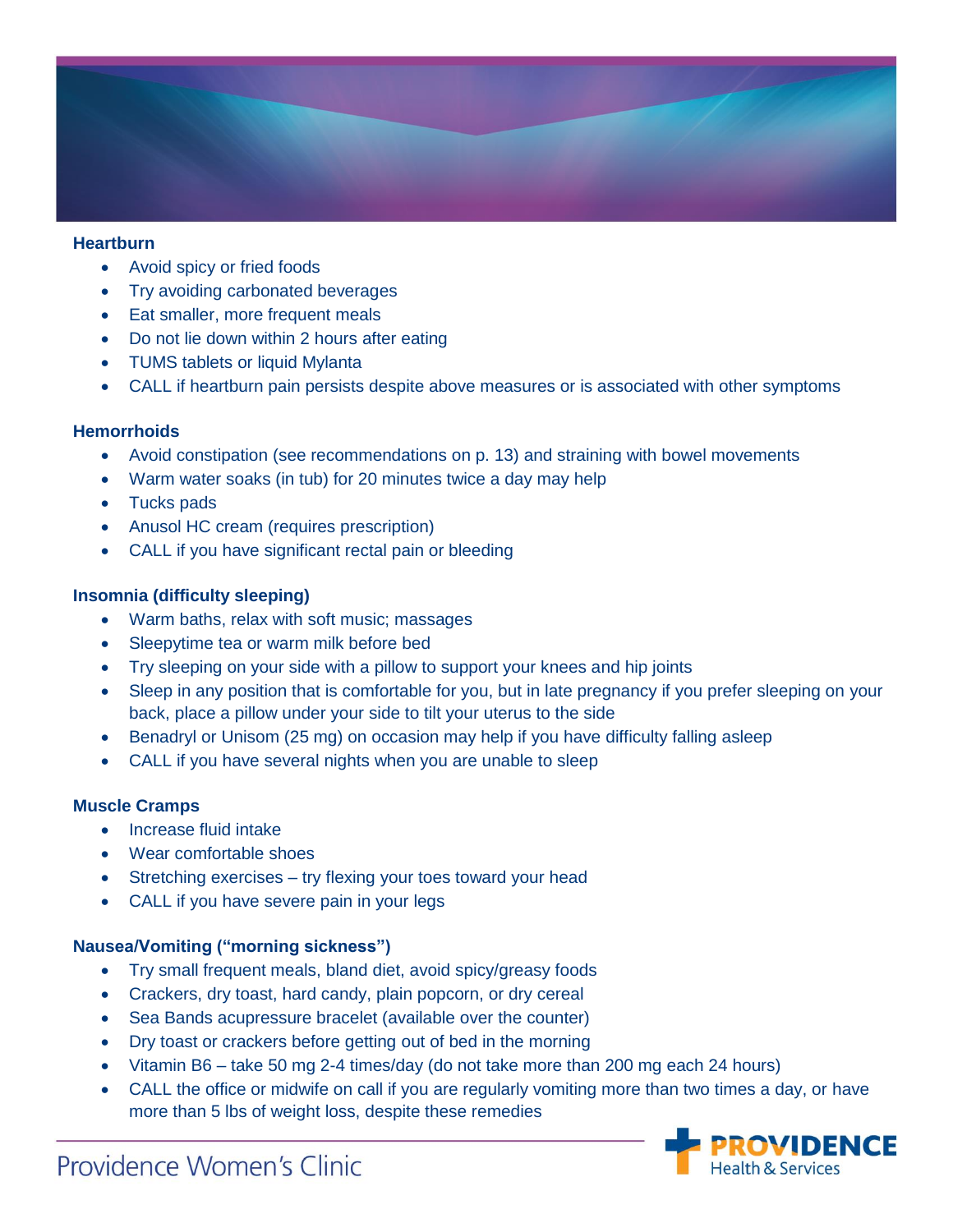

#### **Heartburn**

- Avoid spicy or fried foods
- Try avoiding carbonated beverages
- Eat smaller, more frequent meals
- Do not lie down within 2 hours after eating
- TUMS tablets or liquid Mylanta
- CALL if heartburn pain persists despite above measures or is associated with other symptoms

# **Hemorrhoids**

- Avoid constipation (see recommendations on p. 13) and straining with bowel movements
- Warm water soaks (in tub) for 20 minutes twice a day may help
- Tucks pads
- Anusol HC cream (requires prescription)
- CALL if you have significant rectal pain or bleeding

# **Insomnia (difficulty sleeping)**

- Warm baths, relax with soft music; massages
- Sleepytime tea or warm milk before bed
- Try sleeping on your side with a pillow to support your knees and hip joints
- Sleep in any position that is comfortable for you, but in late pregnancy if you prefer sleeping on your back, place a pillow under your side to tilt your uterus to the side
- Benadryl or Unisom (25 mg) on occasion may help if you have difficulty falling asleep
- CALL if you have several nights when you are unable to sleep

# **Muscle Cramps**

- Increase fluid intake
- Wear comfortable shoes
- Stretching exercises try flexing your toes toward your head
- CALL if you have severe pain in your legs

# **Nausea/Vomiting ("morning sickness")**

- Try small frequent meals, bland diet, avoid spicy/greasy foods
- Crackers, dry toast, hard candy, plain popcorn, or dry cereal
- Sea Bands acupressure bracelet (available over the counter)
- Dry toast or crackers before getting out of bed in the morning
- Vitamin B6 take 50 mg 2-4 times/day (do not take more than 200 mg each 24 hours)
- CALL the office or midwife on call if you are regularly vomiting more than two times a day, or have more than 5 lbs of weight loss, despite these remedies



# Providence Women's Clinic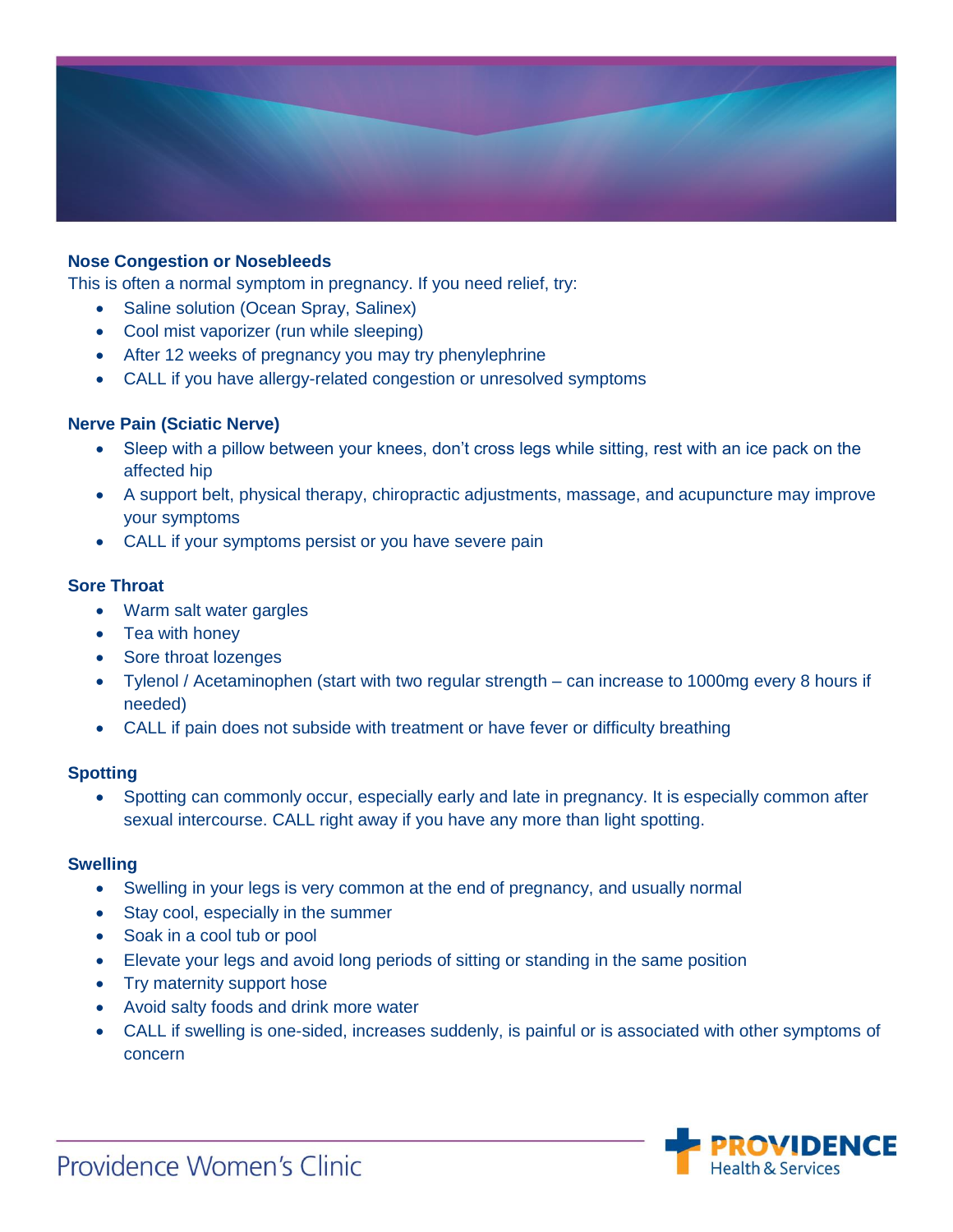

# **Nose Congestion or Nosebleeds**

This is often a normal symptom in pregnancy. If you need relief, try:

- Saline solution (Ocean Spray, Salinex)
- Cool mist vaporizer (run while sleeping)
- After 12 weeks of pregnancy you may try phenylephrine
- CALL if you have allergy-related congestion or unresolved symptoms

#### **Nerve Pain (Sciatic Nerve)**

- Sleep with a pillow between your knees, don't cross legs while sitting, rest with an ice pack on the affected hip
- A support belt, physical therapy, chiropractic adjustments, massage, and acupuncture may improve your symptoms
- CALL if your symptoms persist or you have severe pain

#### **Sore Throat**

- Warm salt water gargles
- Tea with honey
- Sore throat lozenges
- Tylenol / Acetaminophen (start with two regular strength can increase to 1000mg every 8 hours if needed)
- CALL if pain does not subside with treatment or have fever or difficulty breathing

#### **Spotting**

• Spotting can commonly occur, especially early and late in pregnancy. It is especially common after sexual intercourse. CALL right away if you have any more than light spotting.

#### **Swelling**

- Swelling in your legs is very common at the end of pregnancy, and usually normal
- Stay cool, especially in the summer
- Soak in a cool tub or pool
- Elevate your legs and avoid long periods of sitting or standing in the same position
- Try maternity support hose
- Avoid salty foods and drink more water
- CALL if swelling is one-sided, increases suddenly, is painful or is associated with other symptoms of concern